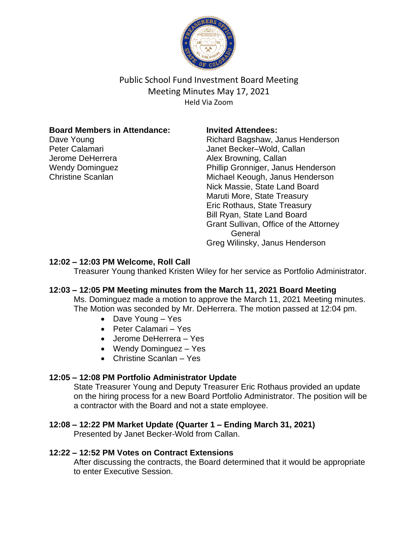

Public School Fund Investment Board Meeting Meeting Minutes May 17, 2021 Held Via Zoom

### **Board Members in Attendance:**

Dave Young Peter Calamari Jerome DeHerrera Wendy Dominguez Christine Scanlan

#### **Invited Attendees:**

Richard Bagshaw, Janus Henderson Janet Becker–Wold, Callan Alex Browning, Callan Phillip Gronniger, Janus Henderson Michael Keough, Janus Henderson Nick Massie, State Land Board Maruti More, State Treasury Eric Rothaus, State Treasury Bill Ryan, State Land Board Grant Sullivan, Office of the Attorney **General** Greg Wilinsky, Janus Henderson

### **12:02 – 12:03 PM Welcome, Roll Call**

Treasurer Young thanked Kristen Wiley for her service as Portfolio Administrator.

### **12:03 – 12:05 PM Meeting minutes from the March 11, 2021 Board Meeting**

Ms. Dominguez made a motion to approve the March 11, 2021 Meeting minutes. The Motion was seconded by Mr. DeHerrera. The motion passed at 12:04 pm.

- Dave Young Yes
- Peter Calamari Yes
- Jerome DeHerrera Yes
- Wendy Dominguez Yes
- Christine Scanlan Yes

### **12:05 – 12:08 PM Portfolio Administrator Update**

State Treasurer Young and Deputy Treasurer Eric Rothaus provided an update on the hiring process for a new Board Portfolio Administrator. The position will be a contractor with the Board and not a state employee.

### **12:08 – 12:22 PM Market Update (Quarter 1 – Ending March 31, 2021)**

Presented by Janet Becker-Wold from Callan.

### **12:22 – 12:52 PM Votes on Contract Extensions**

After discussing the contracts, the Board determined that it would be appropriate to enter Executive Session.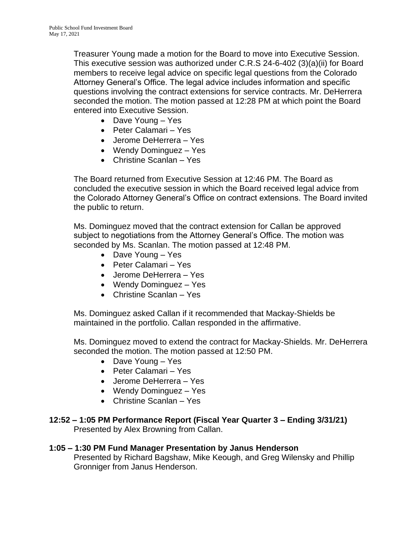Treasurer Young made a motion for the Board to move into Executive Session. This executive session was authorized under C.R.S 24-6-402 (3)(a)(ii) for Board members to receive legal advice on specific legal questions from the Colorado Attorney General's Office. The legal advice includes information and specific questions involving the contract extensions for service contracts. Mr. DeHerrera seconded the motion. The motion passed at 12:28 PM at which point the Board entered into Executive Session.

- Dave Young Yes
- Peter Calamari Yes
- Jerome DeHerrera Yes
- Wendy Dominguez Yes
- Christine Scanlan Yes

The Board returned from Executive Session at 12:46 PM. The Board as concluded the executive session in which the Board received legal advice from the Colorado Attorney General's Office on contract extensions. The Board invited the public to return.

Ms. Dominguez moved that the contract extension for Callan be approved subject to negotiations from the Attorney General's Office. The motion was seconded by Ms. Scanlan. The motion passed at 12:48 PM.

- Dave Young Yes
- Peter Calamari Yes
- Jerome DeHerrera Yes
- Wendy Dominguez Yes
- Christine Scanlan Yes

Ms. Dominguez asked Callan if it recommended that Mackay-Shields be maintained in the portfolio. Callan responded in the affirmative.

Ms. Dominguez moved to extend the contract for Mackay-Shields. Mr. DeHerrera seconded the motion. The motion passed at 12:50 PM.

- Dave Young Yes
- Peter Calamari Yes
- Jerome DeHerrera Yes
- Wendy Dominguez Yes
- Christine Scanlan Yes
- **12:52 – 1:05 PM Performance Report (Fiscal Year Quarter 3 – Ending 3/31/21)** Presented by Alex Browning from Callan.
- **1:05 – 1:30 PM Fund Manager Presentation by Janus Henderson** Presented by Richard Bagshaw, Mike Keough, and Greg Wilensky and Phillip Gronniger from Janus Henderson.